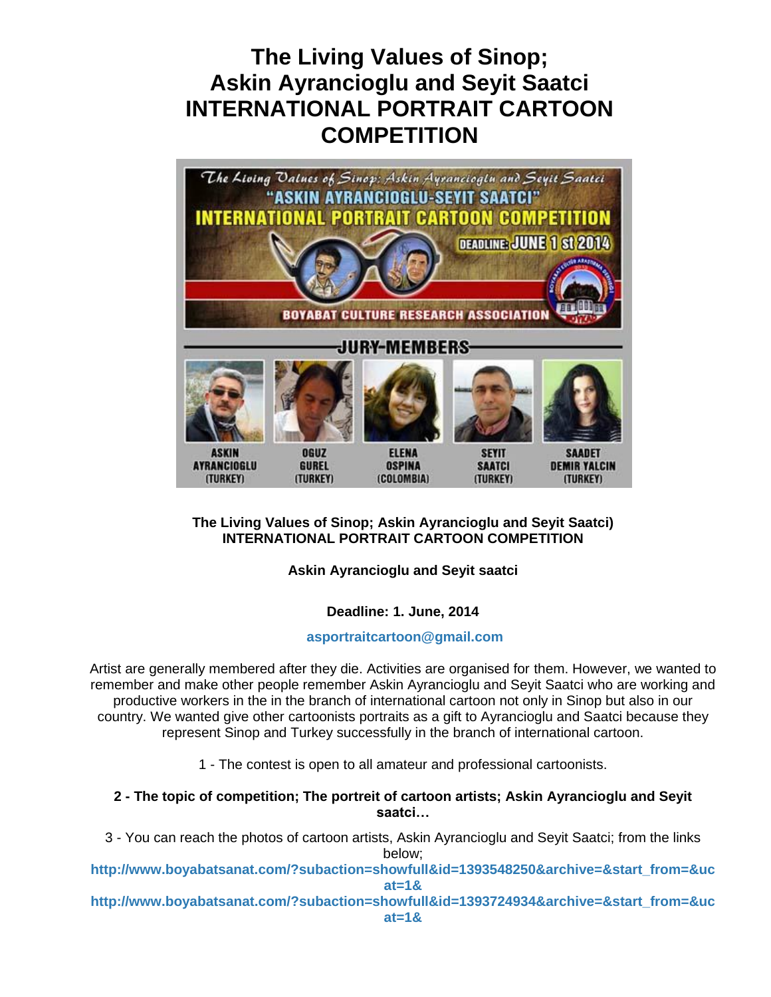# **The Living Values of Sinop; Askin Ayrancioglu and Seyit Saatci INTERNATIONAL PORTRAIT CARTOON COMPETITION**



## **The Living Values of Sinop; Askin Ayrancioglu and Seyit Saatci) INTERNATIONAL PORTRAIT CARTOON COMPETITION**

## **Askin Ayrancioglu and Seyit saatci**

## **Deadline: 1. June, 2014**

#### **[asportraitcartoon@gmail.com](mailto:asportraitcartoon@gmail.com)**

Artist are generally membered after they die. Activities are organised for them. However, we wanted to remember and make other people remember Askin Ayrancioglu and Seyit Saatci who are working and productive workers in the in the branch of international cartoon not only in Sinop but also in our country. We wanted give other cartoonists portraits as a gift to Ayrancioglu and Saatci because they represent Sinop and Turkey successfully in the branch of international cartoon.

1 - The contest is open to all amateur and professional cartoonists.

#### **2 - The topic of competition; The portreit of cartoon artists; Askin Ayrancioglu and Seyit saatci…**

3 - You can reach the photos of cartoon artists, Askin Ayrancioglu and Seyit Saatci; from the links below;

**[http://www.boyabatsanat.com/?subaction=showfull&id=1393548250&archive=&start\\_from=&uc](http://www.boyabatsanat.com/?subaction=showfull&id=1393548250&archive=&start_from=&ucat=1&) [at=1&](http://www.boyabatsanat.com/?subaction=showfull&id=1393548250&archive=&start_from=&ucat=1&)**

**[http://www.boyabatsanat.com/?subaction=showfull&id=1393724934&archive=&start\\_from=&uc](http://www.boyabatsanat.com/?subaction=showfull&id=1393724934&archive=&start_from=&ucat=1&) [at=1&](http://www.boyabatsanat.com/?subaction=showfull&id=1393724934&archive=&start_from=&ucat=1&)**